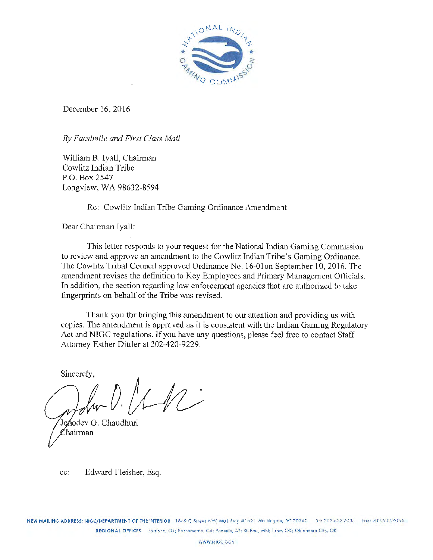

December 16, 2016

By *Facsimile and First Class Mail* 

William B. Iyall, Chairman Cowlitz Indian Tribe P.O. Box 2547 Longview, WA 98632-8594

Re: Cowlitz Indian Tribe Gaming Ordinance Amendment

Dear Chairman Iyall:

This letter responds to your request for the National Indian Gaming Commission to review and approve an amendment to the Cowlitz Indian Tribe's Gaming Ordinance. The Cowlitz Tribal Council approved Ordinance No. 16-0lon September 10, 2016. 'The amendment revises the definition to Key Employees and Primary Management Officials. In addition, the section regarding law enforcement agencies that are authorized to take fingerprints on behalf of the Tribe was revised.

Thank you for bringing this amendment to our attention and providing us with copies. The amendment is approved as it is consistent with the Indian Gaming Regulatory Act and NIGC regulations. If you have any questions, please feel free to contact Staff Attorney Esther Dittler at 202-420-9229.

Sincerely,

erely,<br>*drw D.*  $MN$ Jonodev O. Chaudhuri

Chairman

cc: Edward Fleisher, Esq.

NEW MAILING ADDRESS: NIGC/DEPARTMENT OF THE INTERIOR 1849 C Street NW, Mail Step #1621 Washington, DC 20240 Tel: 202.632.7003 Fax: 202.632.7066 REGIONAL OFFICES Portland, OR; Sacramento, CA; Phoenix, AZ; St. Pow, MN; Tulsa, OK; Oklahoma City, OK

WWW.NIGC.GOV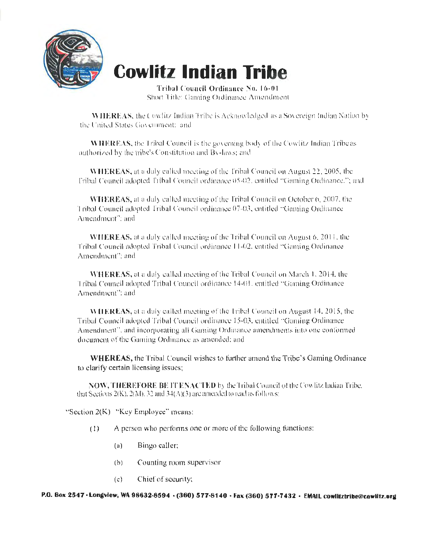

# **Cowlitz Indian Tribe**

Tribal Council Ordinance No. 16-01 Short Title: Gaming Ordinance Amendment

**WILEREAS, the Cowlitz Indian Tribe is Acknowledged as a Sovereign Indian Nation by**. the United States Government: and

WHEREAS, the Tribal Council is the governing body of the Cowlitz Indian Tribe as authorized by the tribe's Constitution and By-laws; and

WHEREAS, at a duly called meeting of the Tribal Council on August 22, 2005, the ['ribal Council adopted Tribal Council ordinance 05-02, entitled "'Gaming Ordinance.''; and

WHEREAS, at a duly called meeting of the Tribal Council on October 6, 2007, the Tribal Council adopted Tribal Council ordinance 07-03, entitled "Gaming Ordinance Amendment": and

WHEREAS, at a duly called meeting of the Tribal Council on August 6, 2011, the. Tribal Council adopted Tribal Council ordinance 11-02. entitled "Gaming Ordinance Amendment": and

WHEREAS, at a duly called meeting of the Tribal Council on March 1, 2014. the Tribal Council adopted Tribal Council ordinance 14-01, entitled "Gaming Ordinance Amendment": and

WHEREAS, at a duly called meeting of the I ribal Council on August 14. 2015, the Tribal Council adopted Tribal Council ordinance 15-03, entitled "Gaming Ordinance" Amendment", and incorporating all Gaming Ordinance amendments into one conformed. dncumcm of the Gaming Ordinance as amended: and

WHEREAS, the Tribal Council wishes to further amend the Tribe's Gaming Ordinance to clarify certain licensing issues;

NOW, THEREFORE BE IT ENACTED by the Tribal Council of the Cow litz Indian Tribe. that Sections 2(K), 2(M), 32 and 34(A)(3) are amended to read as follows:

"Section 2(K) "Key Employee" means:

- (I) A person who pcrfonns one or more of the following functions:
	- (a) Bingo caller:
	- (b) Counting room supervisor
	- (c} Chief of security:

P.O. Box 2547 • Longview, WA 98632-8594 • (360) 577-8140 • Fax (360) 577-7432 • EMAIL cowlitztribe@cowlitz.org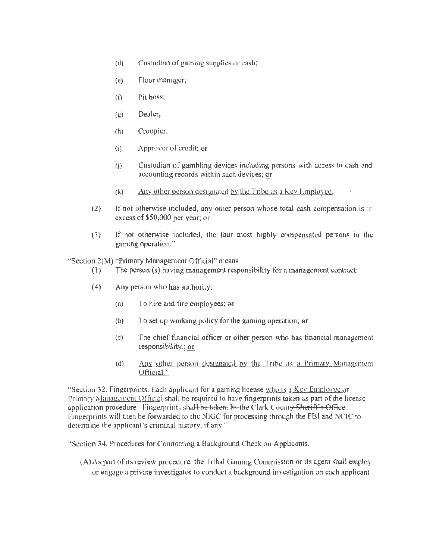- (d) Custodian of gaming supplies or cash;
- (c) Floor manager;
- $(f)$  Pit boss;
- (g) Dealer;
- (h} Croupier;
- (i) Approver of credit;  $er$
- (j) Custodian of gambling devices including persons with access to cash and accounting records within such devices; or
- (k) Any other person designated bv the Tribe as a Key Emplovcc.
- (2) If not otherwise included, any other person whose total cash compensation is in excess of \$50,000 per year; or
- (3) If nor otherwise included, the four most highly compensated persons in the gaming operation."

"Section 2(M) "Primary Management Official" means

- $(1)$  The person (s) having management responsibility for a management contract;
- (4) Any person who has authority:
	- (a) To hire and fire employees;  $\Theta$
	- (b) To set up working policy for the gaming operation;  $\theta$ f
	- (c) The chief financial officer or other person who has financial management responsibility:; or
	- (d)  $\Delta$ ny other person designated by the Tribe as a Primary Management Official."

"Section 32. Fingerprints. Each applicant for a gaming license who is a Kev Employee or Primary Management Official shall be required to have fingerprints taken as part of the license application procedure. Fingermints shall be taken. by the Clark County Sheriff's Office. Fingerprints will then be forwarded to the NIGC for processing through the FBI and NCIC to determine the applicant's criminal history, if any."

"Section 34. Procedures for Conducting a Background Check on Applicants.

 $(A)$ As part of its review procedure, the Trihal Gaming Commission or its agent shall employ or engage a private investigator to conduct a background investigation on each applicant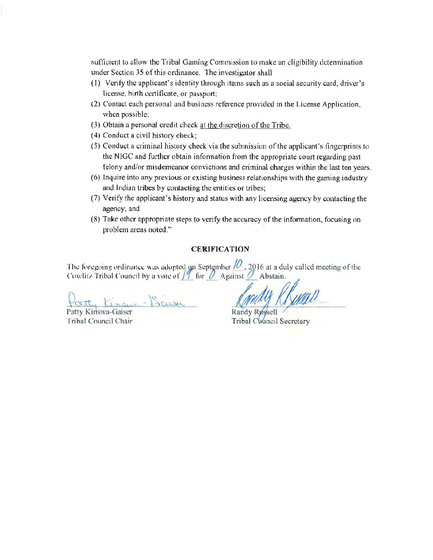sufficient to allow the Tribal Gaming Commission to make an eligibility dctennination under Section 35 of this ordinance. The investigator shall

- (l) Verify the applicant's identity through items such as a social security card, driver's license, hirth certificate, or passport;
- (2) Contact each personal and business reference provided in the License Application, when possible;
- (3) Obtain a personal credit check at the discretion of the Tribe.
- (4) Conduct a civil history check;
- (5) Conduct a criminal history check via the submission of the applicant's fingerprints to the NIGC and further obtain infonnation from the appropriate court regarding past felony and/or misdemeanor convictions and criminal charges within the last ten years.
- (6) Inquire into any previous or existing business relationships with the gaming industry and Indian tribes by contacting the entities or tribes;
- (7) Verify the applicant's history and status with any licensing agency by contacting the agency; and
- (8) Take other appropriate steps to verify the accuracy of the information, focusing on problem areas noted."

#### **CERIFICA TION**

The foregoing ordinance was adopted on September  $/2$ , 2016 at a duly called meeting of the Cowlitz Tribal Council by a vote of  $\int_1^2$  for  $\ell$  Against  $\ell$  Abstain.

Patty Kingwa - Bawa

Patty Kinswa-Gaiser Tribal Council Chair

mdy Rhenne

**Tribal Council Secretary**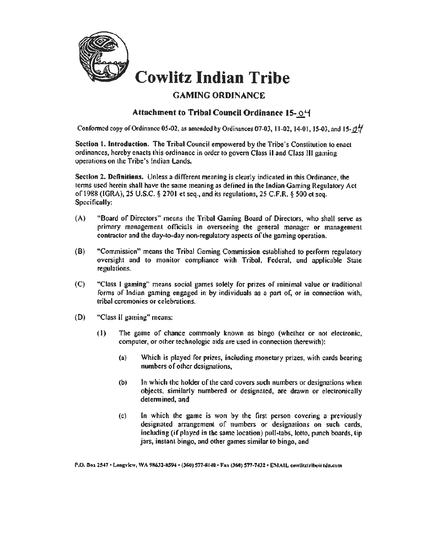

## **Cowlitz Indian Tribe**

## GAMING ORDINANCE

## Attachment to Tribal Council Ordinance 15- $O$ <sup>1</sup>

Conformed copy of Ordinance 05-02, as amended by Ordinances 07-03, 11-02, 14-01, 15-03, and 15- $\theta\dot{\theta}$ .

Section 1. Introduction. The Tribal Council empowered by the Tribe's Constitution to enact ordinances, hereby enacts this ordinance in order to govern Class U and Class HI gaming operalions on the Tribe's Indian Lands.

Section 2. Dclinitinns. Unless a different meaning is clearly indicated in this Ordinance, the terms used herein shall have the same meaning as defined in the lndian Gaming Regulatory Act of 1988 (IGRA), 25 U.S.C. § 2701 et seq., and its regulations, 25 C.F.R. § 500 et seq. Specifically:

- (A) "Board of Directors" means the Tribal Gaming Board of Directors, who shall serve as primary management officials in overseeing the general manager or management contractor and the dny·to-dny non-regulatory aspects of the gaming operation.
- (B) "Commission" means the Tribal Gaming Commission established to perform regulatory oversight and to monitor compliance with Tribal. Federal, and applicable State regulations.
- (C) "Class I gaming" means social games solely for prizes of minimal value or traditional forms of Indian gaming engaged in by individuals as a part of. or in connection with, tribal ceremonies or celebrations.
- (D) "Class II gaming" means:
	- $(1)$  The game of chance commonly known as bingo (whether or not electronic, computer, or other technologic aids are used in connection therewith):
		- (a} Which is played for prizes, including monetary prizes, with cards bearing numbers of other designations,
		- (b) Jn which the holder of the card covers such numbers or designations when objects, similarly numbered or designated, are drawn or electronically determined, and
		- (c) ln which the game is won by the first person covering a previously designated arrangement of numbers or designations on such cards, including (if played in the same location) pull-tabs, lotto, punch boards, tip jars. instant bingo, and other gnmes similar to bingo, and

P.O. Box 2547 • Longview, WA 9R632-8594 • (360) 577-8140 • Fax (360) 577-7432 • EMAIL cowlitztribe@ tdn.com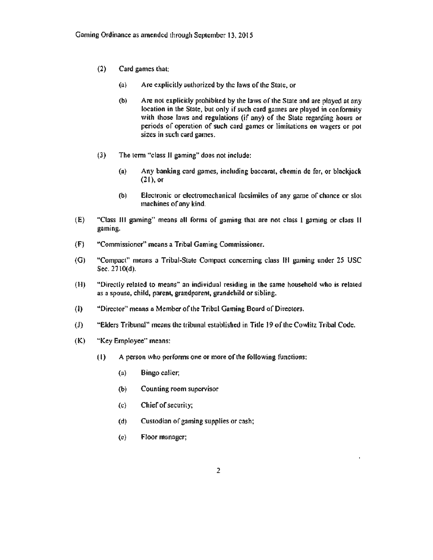- (2) Card games that:
	- (a) Are explicitly aulhorized by the faws of lhe State, or
	- (b) Are not explicitly prohibited by the laws of the State and arc played at any location in the State, but only if such card games are played in conformity with those laws and regulations (if any) of the State regarding hours or periods of operation of such card games or limitations on wagers or pot sizes in such card games.
- (3) The term "class II gaming" does not include:
	- (a) Any banking card games, including baccarat, chemin de fer, or blackjack (21), or
	- (b) Electronic or electromechanical facsimiles of any game of chance or slot machines of ony kind.
- (E) "Class Ill gaming" means all forms of gaming that are not class I gaming or class II gaming.
- (F) ··commissioner" means a Tribal Gaming Commissioner.
- (G) "Compact" means a Tribal-State Compact concerning clnss ltl gaming under 25 USC Sec. 2110(d).
- (H) "Directly related to means" an individual residing *in* the same household who is related as a spouse, child, parent, grandparent, grandchild or sibling.
- (I) "Director" means a Member of the Tribal Gaming Board of Directors.
- {J) "Elders Tribunal" means the tribunal established in Title 19 oflhe Cowlitz Tribal Code.
- (K) "Key Employee" means:
	- $(1)$  A person who performs one or more of the following functions:
		- (a) Bingo caller;
		- (b) Counting room supervisor
		- (c) Chief of security;
		- (d) Custodian of gaming supplies or cash;
		- (c) Floor manager;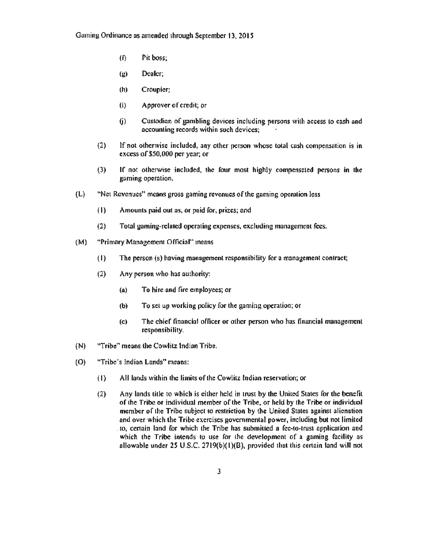- (f) Pit boss;
- (g) Dealer;
- (h) Croupier;
- (i) Approver of credit; or
- (j) Custodian of gambling devices including persons with access to cash and accounting records within such devices;
- (2) If not otherwise included, any other person whose total cnsh compensation is in excess of\$50,000 per year; or
- (3) If not otherwise included, the four most highly compensated persons in the gaming operation.
- (L) "Net Revenues" means gross gaming revenues of the gaming operation Jess
	- (I) Amounts paid oul as, or paid for, prizes; and
	- (2) Total gaming-related operating expenses, excluding management fees.
- {M) "Primary Management Official" means
	- (I) The person (s) hnving management responsibility for a management contract;
	- $(2)$  Any person who has authority:
		- (a} To hire and fire employees; or
		- (b) To set up working policy for the gaming operation; or
		- (c) The chief financial officer or other person who has finoncinl management responsibility.
- (N) "Tribe" means the Cowlitz Indian Tribe.
- (0) "Tribe's Indian Lands" means:
	- $(1)$  All lands within the limits of the Cowlitz Indian reservation; or
	- (2) Any lands title to which is either held in lrust by the United States for the benefit of the Tribe or individual member of the Tribe, or held by the Tribe or individual member of the Tribe subject to restriction by the United States against alienation and over which the Tribe exercises governmental power, including but not limited . to, certain land for which the Tribe has submitted a fee-to-trust application and which the Tribe intends to use for the development of a gaming facility as allowable under 25 U.S.C. 2719(b)( l)(B), provided that this certain tand will not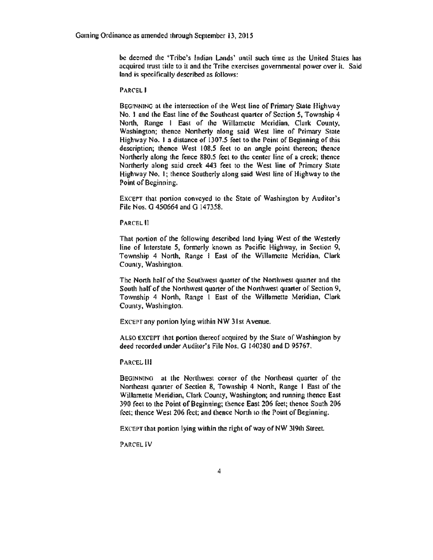be deemed the 'Tribe's Indian Lands' until such time as the United States bas acquired trust title to it and the Tribe exercises governmental power over it. Said land is specifically described as follows:

PARCEL I

BEGINNING at the intersection of the West line of Primary State Highway No. I and the East line of the Southeast quarter of Section *5,* Township 4 North, Range I East of the Willamette Meridian, Clark County, Washington; thence Northerly along said West line of Primary State Highway No. I a distance of 1307.5 feet to the Point of Beginning of this description; thence West 108.5 feet to an angle point thereon; thence Northerly afong the fence 880.5 feet to the center line of a creek; thence Northerly along said creek 443 feet to the West line of Primary State Highway No. 1; thence Southerly along said West line of Highway to the Point of Beginning.

EXCEPT that portion conveyed to the State of Washington by Auditor's File Nos. G 450664 and G 147358.

PARCEL II

That portion of the following described land lying West of the Westerly line of Interstate 5, formerly known as Pacific Highway, in Section 9, Township 4 North. Range I East of the Willamette Meridian, Clark County, Washington.

The North half of the Southwest quarter of the Northwest quarter nnd the South half of the Northwest quarter of the Northwest quarter of Section 9, Township 4 North, Range 1 East of the Willamette Meridian, Clark. County, Washington.

EXCEPT any portion lying within NW 31st Avenue.

ALSO EXCErT that portion thereof ncquired by the State of Washington by deed recorded under Auditor's File Nos. G 140380 and D 95767.

PARCEL Ill

BEGINNING at the Northwest comer of the Norlhcnst quarter of the Northeast quarler of Section 8, Township 4 North, Range I East of the Willamette Meridian, Clark County, Washington; and running thence East 390 feet to the Point of Beginning; thence East 206 feel; thence South 206 feet; thence West 206 feet; and thence North to the Point of Beginning.

EXCEPT that portion lying within the right of way of NW 319lh Street.

PARCEL IV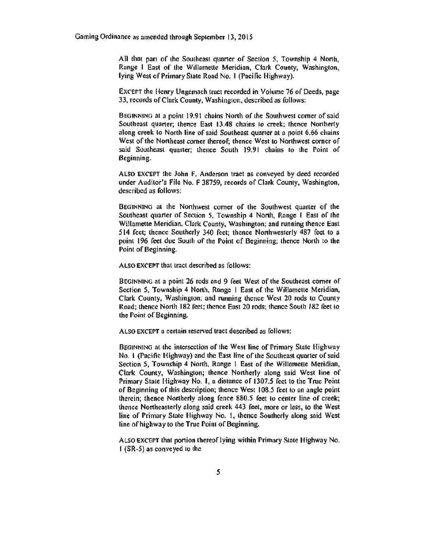All that part of the Southeast quarter of Section *S,* Township 4 North, Range I East of the Willamette Meridian, Clark County, Washington, lying West of Primary State Road No. 1 (Pacific Highway).

EXCEPT the Henry Ungemach tract recorded in Volume 76 of Deeds, page 33, records of Clark County, Washington, described as follows:

BEGINNING at a point 19.91 chains North of the Southwest comer of said Southeast quarter; thence East 13.48 chains to creek; thence Northerly along creek to North line of said Southeast quarter at a point 6.66 chains West of the Northeast comer thereof; thence West to Northwest comer of said Southeast quarter; thence South 19.91 chains to the Point of Beginning.

ALSO EXCErT the John F. Anderson tract as conveyed by deed recorded under Auditor's File No. F 38759, records of Clark County, Washington, described as follows:

BEGINNING al the Northwest comer of the Southwest quarter of the Southeast quarter of Section 5, Township 4 North, Range I East of the Willamette Meridian, Clark County, Washington; and running thence East *S* 14 feet; thence Southerly 340 feet; thence Northwesterly 487 feet lo a point 196 feet due South of the Point of Beginning; thence North to the Point of Beginning.

ALSO EXCEPT that tract described as follows:

BEGINNING at a point 26 rods and 9 feel West of lhe Southeast comer of Section *S,* Township 4 North, Ronge I East of the Willameue Meridian, Clark County. Washington; and running thence West 20 rods to County Road; thence North 182 feet; thence East 20 rods; thence South 182 feet to the Point of Beginning.

ALSO EXCEPT a certain reserved tract described as follows:

BEGINNING at the intersection of the West line of Primary State Highway No. 1 (Pacific Highway) and the East line of the Southeast quarter of said Section 5, Township 4 North, Range 1 East of the Willamette Meridian, Clark Counly, Washington; lhence Northerly along said West line of Primary State Highway No. 1, a distance of 1307.5 feet to the True Point of Beginning of this description; thence West 108.5 feet to an angle point therein; thence Northerly along fence 880.5 feet to center line of creek; thence Northeasterly along said creek 443 feet, more or less, to the West line of Primary State Highway No. I, lhence Southerly along snid West line of highway to the True Point of Beginning.

ALSO EXCEPT that portion thereof lying within Primary State Highway No. I (SR-5) as conveyed to the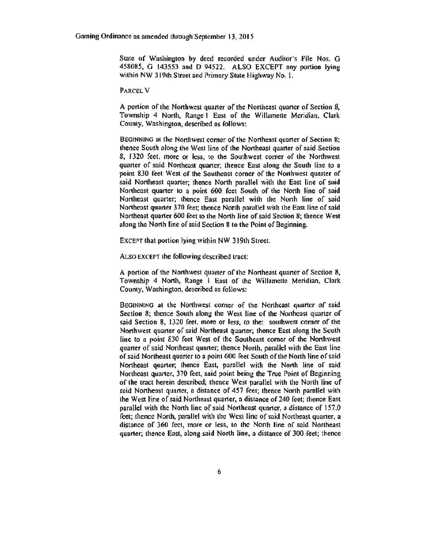State of Washington by deed recorded under Auditor's File Nos. G 458085, G 143553 and D 94522. ALSO EXCEPT any portion lying within NW 319th Street and Primary State Highway No. 1.

PARCEL V

A portion of the Northwest quarter of the Northeast quarter of Section 8, Township 4 North, Range I East of the Willamette Meridian, Clark County, Washington, described as follows:

BEGINNING at the Northwest comer of the Northeast quarter of Section 8; thence South along the West line of the Northeast quarter of said Section 8, 1320 feet, more or less, to the Southwest corner of the Northwest quarter of said Northeast quarter; thence East along the South line to a point 830 feet West of the Southeast comer of the Northwest quarter of said Northeast quarter; thence North parallel with the East line of said Northeast quarter to a point 600 feet South of the North line of said Northeast quarter; thence East parallel with the North line of said Northeast quarter 370 feet; thence North parallel with the East line of said Northeast quarter 600 feet 10 the North line of said Scclion 8; thence West along the North line of said Section 8 to the Point of Beginning.

EXCEPT that portion lying within NW 319th Street.

Atso EXCErT the following described tract:

A portion of the Northwest quarter of the Nonhcast quarter of Section 8, Township 4 North, Range 1 East of the Willamette Meridian, Clark County, Washington, described as follows:

BEOtNNING at the Northwest corner of the Northeast quarter of said Section 8; thence South along the West line of the Northeast quarter of said Section 8, 1320 feet, more or less, to the: southwest corner of the Northwest quarter of said Northeast quarter; thence East along the South line to a point 830 feet West of the Southeast corner of the Northwest quarter of said Northeast quarter; thence North, parallel with the East line of said Northeast quarter to a point 600 feet South of the North line of said Northeast quarter; thence East, parallel with the North line of said Northeast quarter, 370 feet, said point being the True Point of Beginning of the tract herein described; thence West parallel with the North line of soid Northeast quarter, *a* distance of *4S1* feet; lhence Norlh parallel with the West line of said Northeast quarter, a distance of 240 feet; lhence Enst parallel with the North line of said Northeast quarter, a distance of 157.0 feet; thence North, parallel with the West line of said Northeast quarter, a distance of 360 feel, more or less, to the North line of said Northeast quarter; thence East, along said North line, o distance of 300 feet; thence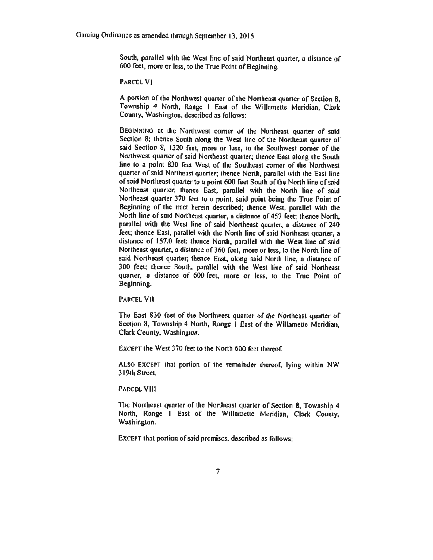South, parallel with the West line of said Northeast quarter, a distance of 600 feet, more or less, to the True Point of Beginning.

PARCEL VI

A portion of the Nonhwcsl quarter of the Northeast quarter of Section 8, Township 4 North, Range I East of the Willamette Meridian, Clark County, Washington, described as follows:

BEGINNING at the Northwest comer of the Northeast quarter of said Section 8; thence Soulh along the West line of the Northeast quarter of said Section 8, 1320 feet, more or less, to the Southwest corner of the Northwest quarter of said Northeast quarter; thence East along the South line to a point 830 feet West of the Southeast comer of the Northwest quarter of said Northeast quarter; thence North, parallel with the East line of said Northeast quarter to a point 600 feet South of the North line of said Northeast quarter; thence East, parallel with the North line of said Northeast quarter 370 feel 10 a point, said point being the True Point of Beginning of the tract herein described; thence West, parallel with 1he North line of said Northeast quarter, a distance of 457 feet; thence North, parallel with the West line of said Northeast quarter, a distance of 240 feet; thence East, parallel with the North line of said Northeast quarter, a distance of 157.0 feet: thence North, parallel with the West line of said Northeast quarter, a distance of 360 feet, more or less, to the North line of said Northeast quarter; thence East, along said North line, a distance of 300 feet; thence South, parallel with the West line of said Northeast quarter, a distance of 600 feet, more or less, to lhe True Point of Beginning.

PARCEL VII

The East 830 feet of the Northwest quarter of the Northeast quarter of Section 8, Township 4 North, Range 1 East of the Willamette Meridian, Clark County, Washington.

EXCEPT the West 370 feet to the North 600 feet thereof.

ALSO EXCEPT that portion of the remainder thereof, lying within NW 3 I 9th Street

PARCEL VIII

The Northeast quarter of the Northeast quarter of Section 8, Township 4 North, Range I East of the Willamette Meridian, Clark County, Woshington.

EXCEPT that portion of said premises, described as follows: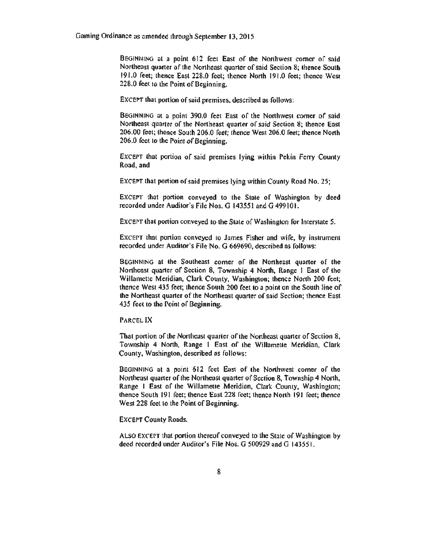BEGINNING at a point 612 feet East of the Northwcsl comer of said Northeast quarter of the Northeast quarter of said Section 8; thence South 191.0 feet; thence East 228.0 feet; thence North 191.0 feet; thence West 228.0 feet to the Point of Beginning.

EXCEPT that portion of said premises, described as follows:

BEGINNING at a point 390.0 feet East of the Northwest comer of said Northeast quarter of the Northeast quarter of said Section 8; thence East 206.00 feet; thence South 206.0 feet; thence West 206.0 feet; thence North 206.0 feet to the Point of Beginning.

EXCEPT that portion of said premises lying within Pekin Ferry County Road, and

EXCEPT that portion of said premises lying within County Road No. 25;

EXCEPT that portion conveyed to the State of Washington by deed recorded under Auditor's File Nos. G 143551 and G 499101.

EXCEPT that portion conveyed to the State of Washington for Interstate *5.* 

EXCEPT that portion conveyed to James Fisher and wife, by instrument recorded under Auditor's File No. G 669690, described as follows:

BEGINNING at the Southeast comer of the Northeast quarter of the Northeast quarter of Section 8, Township 4 North, Range I East of lhe Willamette Meridian, Clark County, Washington; thence North 200 feet; thence West *435* feet; thence South 200 feet to a point on the South line of the Northeast quarter of the Northeast quarter of said Section; thence East 435 feet to the Point of Beginning.

#### PARCEL IX

That portion of the Northeast quarter of the Northeast quarter of Section 8, Township 4 North, Range l Enst of the Willamette Meridian, Clark County, Washington, described ns follows:

BEGINNING at a point 612 feet East of the Northwest comer of the Northeast quarter of the Northeast quarter of Section 8, Township 4 North, Range I East of the Willamette Meridian, Clark County, Washington; thence South 191 feet; thence East 228 feet; thence North 191 feet; thence West 228 feet to the Point of Beginning.

#### EXCEPT County Roads.

ALSO EXCEPT that portion thereof conveyed to the State of Washington by deed recorded under Auditor's File Nos. G 500929 and G 14355 I.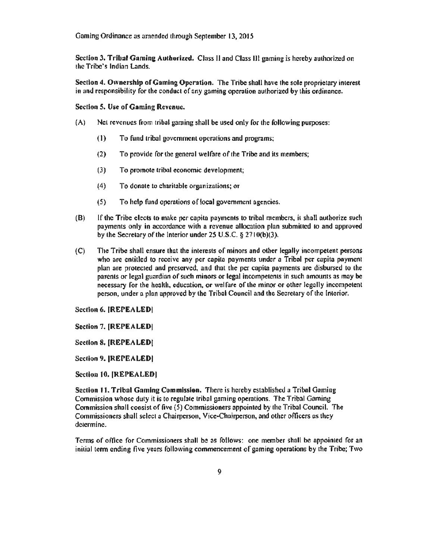Gaming Ordinance as amended through September 13. 2015

Section 3. Tribal Gaming Authorized. Class II and Class III gaming is hereby authorized on the Tribe's Indian Lands.

Section 4. Ownership of Gaming Operation. The Tribe shall have the sole proprietary interest in and responsibility for the conduct of any gaming operation authorized by this ordinance.

Section 5. Use of Gaming Revenue.

- (A) Net revenues from tribal gaming shall be used only for the following purposes:
	- (1) To fund tribal government operations and programs;
	- (2) To provide for the general welfare of the Tribe and its members;
	- (3) To promote tribal economic development;
	- (4) To donate to charitable organizations; or
	- (5) To help fund operations of local government agencies.
- (B) If the Tribe elects to make per capita paymenls to tribal members, it shaU authorize such payments only in accordance with a revenue allocation plan submitted to and approved by the Secretary of the Interior under 25 U.S.C. § 27 IO(b)(3).
- (C) The Tribe shall ensure that the interests of minors and other legally incompetent persons who are entitled to receive any per capita payments under a Tribal per capita payment plan are protected and preserved. and that the per capita payments are disbursed to the parenls or legal guardian of such minors or legal incompetents in such amounts as mny be necessary for the health, education. or wel fore of the minor or other legally incompetent person, under a plan approved by the Tribal Council and the Secretary of the Interior.

Section 6. [REPEALED]

Section 7. (REPEALED!

Section 8. (REPEALED[

Section 9. IREPEALEDI

Section 10. [REPEALED]

Section 11. Tribal Gaming Commission. There is hereby established a Tribal Gaming Commission whose duty it is to regulate tribal gaming operations. The Tribal Gaming Commission shall consist of five (5) Commissioners appointed by the Tribal Council. The Commissioners shall sclecl a Chairperson. Vice.Chairperson, and other officers ns they determine.

Tcnns of office for Commissioners shall be as follows: one member shall be appointed for an initial term ending tivc years following commencement of gaming operations by the Tribe; Two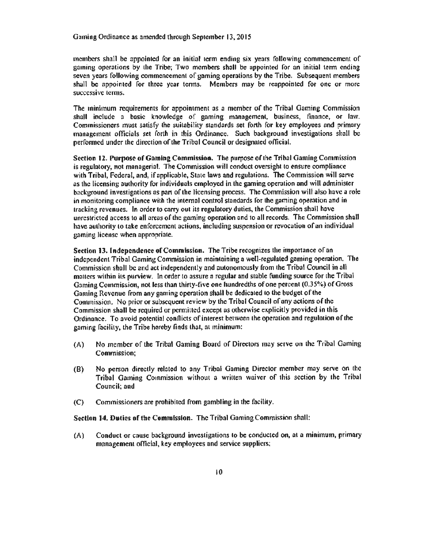members shall be appointed for an initial term ending six years following commencement of gaming operations by the Tribe; Two members shaU be appointed for an initial tenn cndins seven years following commencement of gaming operations by the Tribe. Subsequent members shall be appointed for three year tenns. Members may be reappointed for one or more successive terms.

The minimum requirements for appointment as a member of the Tribal Gaming Commission shall include a basic knowledge of gaming management, business, finance, or law. Commissioners must satisfy the suitability standards set forth for key employees and primary management officials set forth in this Ordinance. Such background investigations shall be performed under the direction of the Tribal Council or designated official.

Section 12. Purpose of Gomlng Commission. The purpose of the Tribal Gaming Commission is regulatory, not managerial. The Commission will conduct oversight to ensure compliance with Tribal, Federal, and, if applicable. Stale laws and regulations. The Commission will serve as the licensing authority for individuals employed in the gaming operation and will administer background investigations as part of the licensing process. The Commission will also have a role in monitoring compliance with the internal control standards for the gaming operation and in tracking revenues. In order to carry out its regulatory duties, the Commission shall have unrestricted access to all areas of the gaming operation and to all records. The Commission shall have authority to take enforcement actions, including suspension or revocation of an individual gaming license when appropriate.

Section 13. Independence of Commission. The Tribe recognizes the importance of nn independent Tribal Gaming Commission in maintaining a well-regulated gaming operation. The Commission shall be and act independently and autonomously from the Tribal Council in all matters within its purview. In order to assure n regular and stable funding source for the Tribal Gaming Commission, not less than thirty-five one hundredths of one percent (0.35%) of Gross Gaming Revenue from any gaming operation shall be dedicated to the budget of the Commission. No prior or subsequent review by the Tribal Council of any actions of the Commission shalt be required or pennittcd except as otherwise explicitly provided in this Ordinance. To avoid potential conflicts of interest between the operation and regulation of the gaming facilily. the Tribe hereby finds that, at minimum:

- (A) No member of the Tribal Gaming Board of Directors may serve on the Tribal Gaming Commission;
- (B) No person directly related to any Tribal Gaming Director member may serve on the Tribal Gaming Commission without a written waiver of this section by the Tribal Council; and
- (C) Commissioners are prohibited from gambling in the facilily.

Section 14. Duties of the Commission. The Tribal Gaming Commission shall:

(A) Conduct or cnuse background invescigations co be conducted on, at a minimum, primary management official, key employees nnd service suppliers;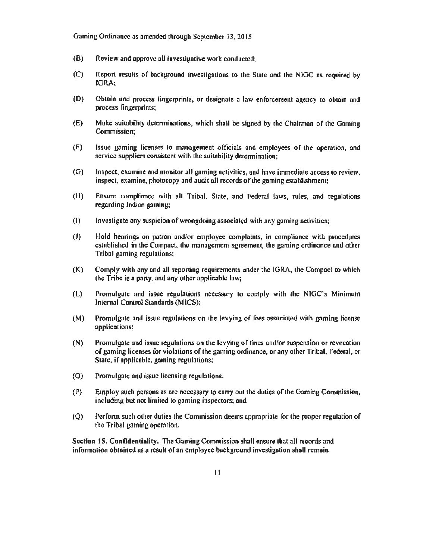Gaming Ordinance as amended through September 13, 2015

- (B) Review and approve all investigative work conducted;
- (C) Report results of background investigations to 1he Stale and the NlGC os required by IGRA;
- (0) Obtain and process fingerprints, or designate a law enforcement agency 10 obtain and precess fingerprints;
- (E) Make suitability determinations, which shall be signed by the Chairman of the Gaming Commission;
- (F) Issue gaming licenses to management officials and employees of the operation, and service suppliers consistent with the suitability determination;
- (0) Inspect, examine and monitor all gaming activities, and have immediate access to review, inspect, examine, photocopy and audit all records of the gaming establishment;
- (H) Ensure compliance wilh all Tribal, State, and Federal laws, rules, and regulations regarding Indian gaming;
- (I) Investigate any suspicion of wrongdoing associated with any gaming activities;
- (J) Hold hearings on patron and/or employee complaints. in compliance with procedures established in the Compact, the management agreement, the gaming ordinance and other Tribal gaming regulations:
- (K) Comply with any and all reporting requirements under the IGRA, the Compact to which the Tribe is a party, and any other applicable law;
- (L) Promulgate and issue regulations necessary to comply with the NIGC's Minimum Internal Control Standards (MlCS);
- $(M)$  Promulgate and issue regulations on the levying of fees associated with gaming license applications;
- (N) Promulgate and issue regulntions on the levying of fines and/or suspension or revocation of gaming licenses for violations of 1he gaming ordinance, or any other Tribal, Federal, or State. if applicable, gaming regulations;
- (0) Promulgate nnd issue licensing regulations.
- $(P)$  Employ such persons as are necessary to carry out the duties of the Gaming Commission, including but not limited to gaming inspectors; and
- (Q) Perform such other duties 1he Commission deems appropriate for the proper regulation of the Tribal gaming operation.

Section 15. Confidentiality. The Gaming Commission shall ensure that all records and information obtained as a result of an employee background investigation shall remain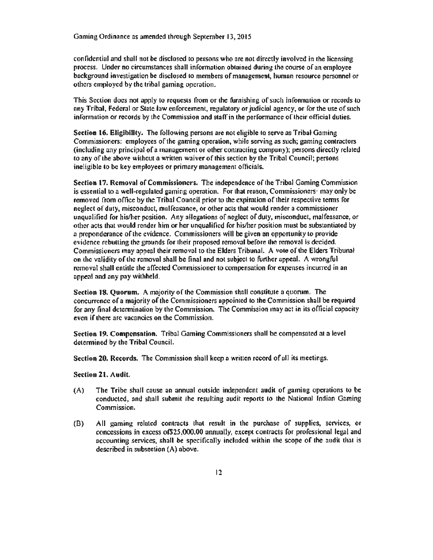confidential and shall not be disclosed to persons who are not directly involved in the licensing process. Under no circumstances shall infonnation obtained during the cours¢ of an employee background investigation be disclosed to members of management, human resource personnel or others employed by the tribal gaming operation.

This Section does not apply to requests from or the furnishing of such information or records to nny Tribal. Federal or Seate law enforcement, regulatory or judicial agency, or for the use of such information or records by the Commission and staff in the perfonnance of lheir official duties.

Section 16. Eligibility. The following persons are not eligible to serve as Tribal Gaming Commissioners: employees of the gaming operation, whtle serving as such; gaming contractors (including any principal of a management or other contracting company); persons directly related to any of the above wi1hout a written waiver of this section by the Tribal Council; persons ineligible to be key employees or primary management officials.

Section 17. Removal of Commissioners. The independence of the Tribal Gaming Commission is essential to a well-regulated gaming operation. For that reason, Commissioners· may only be removed from office by the Tribal Council prior to the expiration of their respective tenns for neglect of duty, misconduct, malfeasance, or other acts that would render a commissioner unqualified for his/her position. Any aflegntions of neglect of duty. misconduct, malfeasance, or other acts 1hat would render him or her unqualified for his/her position must be substantiated by a preponderance of the evidence. Commissioners will be given an opportunity to provide evidence rebutting the grounds for their proposed removal before the removal is decided. Commissioners may appeal their removal to the Elders Tribunal. A vote of the Elders Tribunat on the validity of the removal shall be final and not subject to further appeal. A wrongful removal shall entitle the affected Commissioner to compensation for expenses incurred in an appeal and any pay withheld.

Section 18. Quorum. A majority of the Commission shall constitute a quorum. The concurrence of a majority of the Commissioners appointed to the Commission shall be required for any final determination by the Commission. The Commission may act in its official capacity even if there arc vacancies on the Commission.

Section 19. Compensation. Tribal Gaming Commissioners shall be compensated at a level determined by the Tribal Council.

Section 20. Records. The Commission shall keep a written record of all its meetings.

Section 21. Audit.

- (A) The Tribe shall cause an annual outside independent audit of gaming operations to be conducted, and shall submit the resulting audit reports to the National Indian Gaming Commission.
- (B) All gaming related contraccs that result in the purchase of supplies, services, or concessions in excess of\$25,000.00 annually, except contracts for professional legal and accounting services, shall be specifically included within the scope of the audit that is described in subsection (A} above.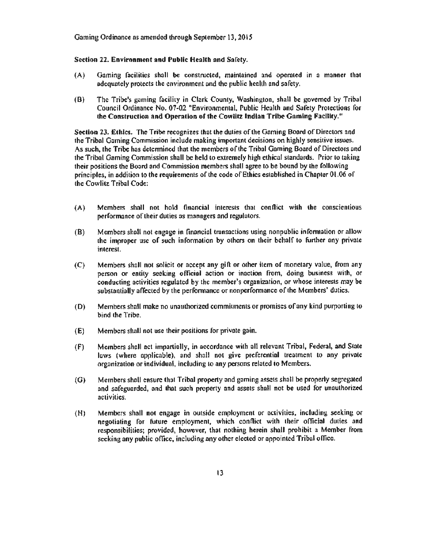Gaming Ordinance ns amended through September 13. 2015

#### Section 22. Environment and Public Health and Safety.

- (A) Gaming facilities shall be oonstrucled. maintained and operated in a manner that adequately protects the environment and the public henlth and safety.
- (B) The Tribe's gnming facility in Clark County. Washington, shall be governed by Tribal Council Ordinance No. 07-02 "Environmental, Public Health and Safety Protections for the Construction and Operation of the Cowlitz Indian Tribe Gaming Facility."

Section 23. Ethics. The Tribe recognizes that the duties of the Gaming Board of Directors and the Tribal Gaming Commission include making important decisions on highly sensitive issues. As such, the Tribe has determined that the members of the Tribal Gaming Board of Directors and the Tribal Gaming Commission shall be held to extremely high ethical standards. Prior to taking their positions the Board and Commission members shall agree to be bound by the following principles, in addition to the requirements of the code of Ethics established in Chapter 01.06 of the Cowlitz Tribal Code:

- (A) Members shall not hold financial interests that conflict wilh the conscientious performance of their duties as managers and regulators.
- (B) Members shall not engage in financial transactions using nonpublic information or allow the improper use of such information by others on their behnlf to further any private interest.
- (C) Members shall not solicit or accept any gift or other item of monetary value, from any person or entity seeking official action or inaction from, doing business with, or conducting activities regulated by the member's organization. or whose interests may be substantially affected by the performance or nonperformance of the Members' duties.
- (0) Members shall make no unauthorized commitments or promises ofany kind purporting to bind the Tribe.
- (E) Members shall not use their positions for private gain.
- (F) Members shall act impnnially, in accordance with all relevant Tribal, Federal, and State laws (where applicable), and shall not give preferential treatment to any private organization or individual, including to any persons related io Members.
- (G) Members shnll ensure that Tribal property and gaming assets shall be property segregated and safeguarded, and that such property and assets shall not be used for unauthorized activities.
- (H) Members shall not engage in outside employment or activities, including seeking or negotiating for future employment, which conflict with their official duties and responsibilities; provided, however, that nothing herein shall prohibit a Member from seeking any public office, including any other elected or appointed Tribal office.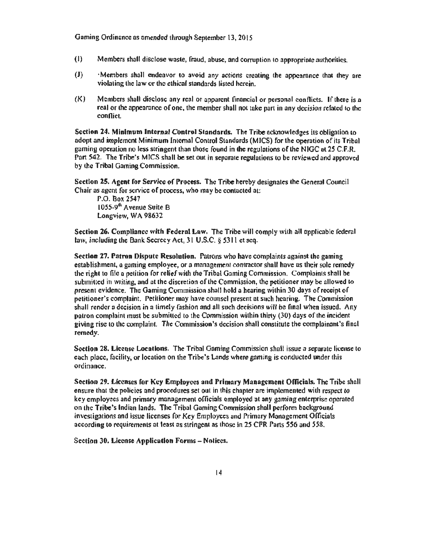Gaming Ordinance as amended through September 13, 2015

- (I) Members shall disclose waste, fraud, abuse, and corruption to appropriate authorities.
- (J) •Members shall endeavor to avoid any actions creating the appearance that they are violating the law or the ethical standards listed herein.
- $(K)$  Members shall disclose any real or apparent financial or personal conflicts. If there is a real or the appearance of one, the member shall not take part in any decision related to the conflict.

Section 24. Minimum Internal Control Standards. The Tribe acknowledges its obligation to adont and implement Minimum Internal Control Standards (MICS) for the operation of its Tribal gaming operation no less stringent than those found in the regulations of Lhe NIGC ot *2S* C.F.R. Part 542. The Tribe's MICS shall be set out in separate regulations to be reviewed and approved by the Tribal Gaming Commission.

Section 25. Agent for Service of Process. The Tribe hereby designates the General Council Chair as agent for service of process, who may be contacted at:

r.o. Box 2547 1055-9<sup>th</sup> Avenue Suite B Longview, WA 98632

Section 26. Compliance with Federal Law. The Tribe will comply with all applicable federal law, including the Bank Secrecy Act, 31 U.S.C. § S3 I I et seq.

Section 27. Patron Dispute Resolution. Patrons who have complaints against the gaming establishment, a gaming employee, or a management contractor shall have as their sole remedy the righl to file a petition for relief with the Tribal Gaming Commission. Complaints shall be submitted in writing, and at the discretion of the Commission, the petitioner may be allowed <sup>10</sup> present evidence. The Gaming Commission shall hold a hearing within 30 days of receipt of petitioner's complaint. Petitioner moy have counsel present at such hearing. The Commission shall render a decision in a limely fashion and all such decisions will be final when Issued. Any patron complaint must be submitted to the Commission within thirty (30) days of the incident giving rise to the complaint. The Commission's decision shall constitute the complainant's final remedy.

Section 28. License Locations. The Tribal Gaming Commission shall issue a separate license to each place, facility, or location on the Tribe's Lands where gaming *is* conducted under this ordinance.

Section 29. Licenses for Key Employees and Primary Management Officials. The Tribe shall ensure that the policies and procedures set out in this chapter are implemented with respect to key employees and primary management officials employed at any gaming enterprise operated on the Tribe's Indian lands. The Tribal Gaming Commission shall perform background investigations and issue licenses for Key Employees and Primary Management Officials according to requirements at least ns stringent as those in *25* CFR Ports *556* and *558.* 

Section 30. License Application Forms - Notices.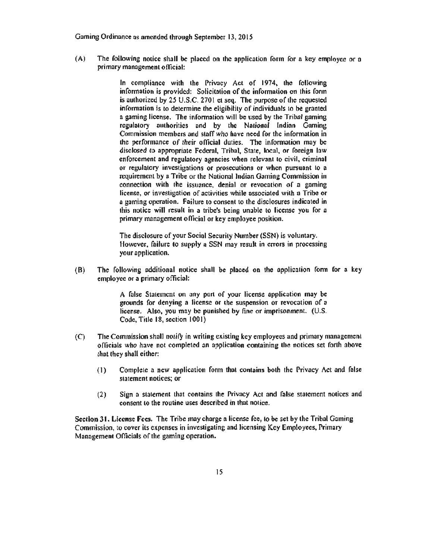Gaming Ordinance as amended through September 13, 2015

(A) The following notice shall be placed on the application form for n key employee or o primary management official:

> In compliance with the Privacy Act of 1974, the following information is provided: Solicitation of the information on this form is authorized by 25 U.S.C. 2701 et seq. The purpose of the requested information is to determine the eligibility of individuals to be granted a gaming license. The information will be used by the Tribal gaming regulatory authorities and by the National Indian Gaming Commission members and staff who have need for the information in the performance of their official duties. The information may be disclosed to appropriate Federal, Tribal, State, local, or foreign law enforcement and regulatory agencies when relevant 10 civil, criminal or regulatory investigotions or prosecutions or when pursuant to a requirement by a Tribe or the National Indian Gaming Commission in connection with the issuance, denial or revocation of a gaming license, or investigation of activities while associated with a Tribe or a gaming operation. Failure 10 consent to 1he disclosures indicated in this notice will result in a tribe's being unable lo license you for a primary management official or key employee position.

> The disclosure of your Social Security Number (SSN) is voluntary. However, failure to supply a SSN may result in errors in processing your application.

(B) The following additional notice shall be placed on the application form for a key employee or a primary official:

> A false Statement on any part of your license application may be grounds for denying a license or the suspension or revocation of a license. Also, you may be punished by fine or imprisonment. (U.S. Code, Title 18, section 1001)

- (C) The Commission shall notify in writing existing key employees and primary management officials who have not completed an application containing the notices set forth above that they shall either:
	- (I) Complete a new application form that contains both the Privacy Act and false statement notices; or
	- (2) Sign a statement that contains the Privacy Act and false statement notices and consent to the routine uses described in thnt notice.

Section 31. License Fees. The Tribe may charge a license fee, to be set by the Tribal Gaming Commission, to cover its expenses in investigating and licensing Key Employees, Primary Management Orficials of the gaming operation.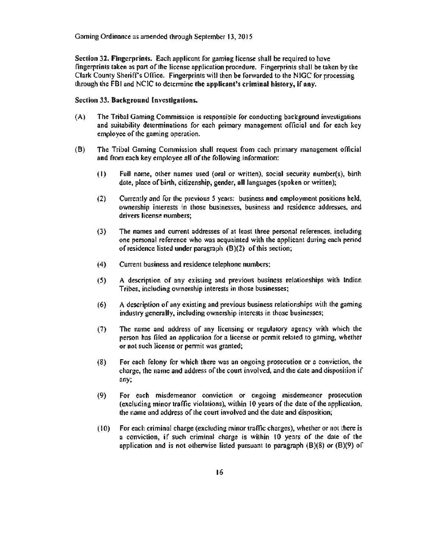Section 32. Fingerprints. Each applicant for gaming license shall be required to have fingerprints taken as part of the license application procedure. Fingerprints shall be taken by the Clark County Sheriff's Office. Fingerprints will then be forwarded to the NIGC for processing through the FBI and NCIC to determine the applicant's criminal history, if any.

#### Section 33. Buckground Investigations.

- (A) The Tribal Gaming Commission is responsible for conducting background investigations and suitability determinations for each primary management official and for each key employee of the gaming operation.
- (8) The Tribal Gaming Commission shall request from each primary management official and from each key employee all of the following information:
	- (1) Full name, other names used (oral or written), social security number(s), birth date. place of birth, citizenship, gender, all languages (spoken or written);
	- (2) Currently and for the previous 5 years: business and employment positions held, ownership interests in those businesses. business and residence addresses, und drivers license numbers;
	- (3) The names and current addresses of at least three personal references. including one personal reference who was acquainted with the applicant during each period of residence listed under paragraph (8)(2) of this section;
	- (4) Current business and residence telephone numbers;
	- (S) A description of any existing and previous business relationships with Indian Tribes, including ownership interests in those businesses;
	- (6) A description of any existing and previous business relationships with the gaming industry generally, including ownership interests in those businesses;
	- (7) The name and address of any licensing or regulatory agency with which the person has filed an application for a license or permit related to gaming, whether or not such license or pcnnit was granted;
	- (8) For ench felony for which there was an ongoing prosecution or a conviction, the charge, the name and address of lhe court involved, and the date and disposition if any;
	- (9) For each misdemeanor conviction or ongoing misdemeanor prosecution (excluding minor traffic violations), wilhin 10 years of the date of lhe application, the name and address of the coun involved and the date and disposition;
	- ( l 0) For ench criminal charge (excluding minor traffic charges), whether or not there is a conviclion, if such criminal charge is wilhin lO years of the date of the application and is not otherwise listed pursuant to paragraph  $(B)(8)$  or  $(B)(9)$  of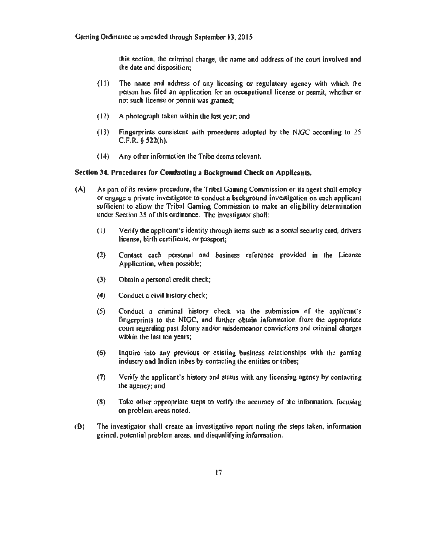this section, the criminal charge, the name and address of the court involved and lhe date and disposition;

- $(11)$  The name and address of any licensing or regulatory agency with which the person has filed an application for an occupational license or permit, whether or not such license or pennit was granted;
- (12) A photograph taken within the last year, and
- ( 13) Fingerprints consistent with procedures adopted by the N IGC according to 2.5  $C.F.R.$   $$$   $522(h).$
- ( 14) Any other information 1he Tribe deems relevant.

#### Section 34. Procedures for Conducting a Background Check on Applicants.

- (A) As part of its review procedure, the Tribal Gaming Commission or its agent shall employ or engage a private investigator to conduct a background investigation on each applicant sufficient to allow the Tribal Gaming Commission to make an eligibility determination under Section 35 of this ordinance. The investigator shall:
	- ( l) Verify the applicant's identity through ilems such as a social security card, drivers license, birth certificute, or passport;
	- (2) Contact each personal and business reference provided in the License Application, when possible;
	- (3) Obtain o personal credit check;
	- (4) Conduct a civil history check;
	- (5) Conduct a criminal history check via the submission of the applicant's fingerprints to the NIGC, and further obtain information from the appropriate court regnrding pnst felony and/or misdemeanor convictions ond criminal charges within the last ten years;
	- (6) Inquire into any previous or existing business relationships with the gaming industry and Indian tribes by contacting the entities or tribes;
	- $(7)$  Verify the applicant's history and status with any licensing agency by contacting the agency; nnd
	- $(8)$  Take other appropriate steps to verify the accuracy of the information, focusing on problem areas noted.
- (B) The investigator shall create an investigative report noting the steps taken, information gained, potential problem areas, and disqualifying information.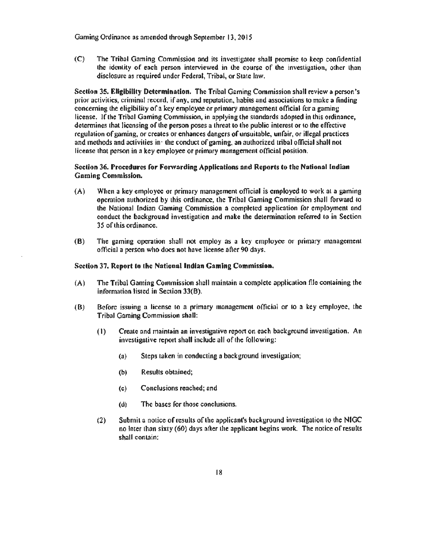Gaming Ordinance as amended through September 13, 2015

(C) The Tribal Gaming Commission nnd its investigator shaU promise to keep confidential the identity of ench person interviewed in the course of the investigation. other than disclosure as required under Federal, Tribal, or State law.

Section 35. Ellgiblllty Determination. The Tribal Gaming Commission shall review a person's prior activities, criminnl record, if any. and reputation, habits and associations to make a finding concerning the eligibility of a key employee or primary mnnogement officiid for a gaming license. Jf the Tribal Gaming Commission, in applying the standards adopted in this ordinance, determines that licensing of the person poses a threat to the public interest or to the effective regulation of gaming, or creates or enhances dangers of unsuitable, unfair, or illegal practices and methods and activities in· the conduct of gaming, an authorized tribal official shall not license that person in a key employee or primary management official position.

#### Section 36. Procedures for Forwarding Applications and Reports to the National Indian Gaming Commission.

- (A) When a key employee or primary management official is employed to work at a gaming operation authorized by this ordinance, the Tribal Gaming Commission shall forward to lhe National (ndian Gaming Commission a completed application for employment ond conduct the background investigation and make the determination referred to in Section 35 of this ordinance.
- (B) The gaming operation shall not employ as a key employee or primary management official a person who docs not have license aAer 90 days.

#### Section 37. Report to the National Indian Gaming Commission.

- (A) The Tribal Gaming Commission shall maintain a complete apptication file containing the information listed in Section 33(B).
- (B) Before issuing a license to a primary management official or lo a key employee, the Tribal Gaming Commission shall:
	- (I) Create and maintain an investigative report on each background investigation. An investigative report shall include all of the following:
		- (a) Steps taken in conducting a background investigation;
		- (b) Results obtained;
		- (c) Conclusions reached; and
		- (d) The bases for those conclusions.
	- (2) Submit a notice of results of the applicant's background investigation to the NIGC no Inter than sixty (60) days after the applicant begins work. The notice of results shall contain: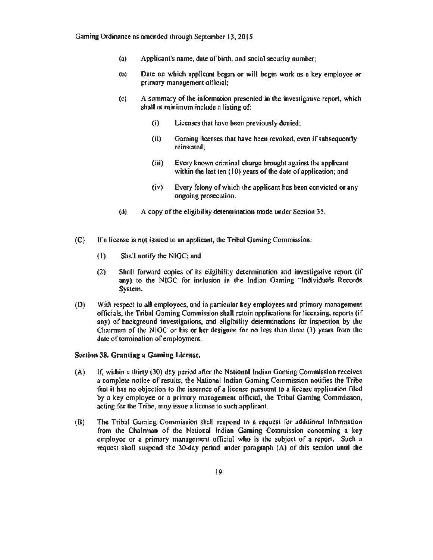- (a) Applicant's name, date of birth, and social security number;
- (b) Date on which applicant began or wilt begin work as a key employee or primary management official;
- (c) A summary of the information presented in the investigative repon, which shall at minimum include a listing of:
	- (i) Licenses that hnve been previously denied;
	- (ii) Gaming licenses that have been revoked, even if subsequently reinstated;
	- (iii) Every known criminal charge brought against the applicant within the last ten  $(10)$  years of the date of application; and
	- (iv) Every felony of which the applicant has been convicted or any ongoing prosecution.
- (d) A copy of the eligibitity determination made under Section 35.
- (C) If a license is not issued to an applicant, the Tribal Gaming Commission:
	- (1) Shall notify the NIGC; and
	- (2) Shall forward copies of its eligibility determination and investigative repon (if any) to the NIGC for inclusion in the Indian Gaming "Individuals Records System.
- (D) With respect to aU employees, and in particulnr key employees and primary management officials, the Tribal Gaming Commission shall retain applications for licensing, reports (if  $any)$  of background investigations, and eligibility determinations for inspection by the Chairman of the NlGC or his or her designee for no Jess than three (3) years from lhe date of termination of employment.

#### Section 38. Granting a Gaming License.

- (A) If. within *a* thirty (30) day period after the National Indian Gaming Commission receives a complete notice of results, the National Indian Gaming Commission notifies the Tribe that it has no objection to the issuance of a license pursunnt to a license application filed by a key employee or a primary management official, the Tribal Gaming Commission, acting for lhe Tribe, moy issue a license to such applicant.
- (B) The Tribal Gaming Commission shaH respond to a request for nddicionnl information from the Chairman of the National Indian Gaming Commission concerning a key employee or a primary management official who is the subject of a report. Such a request shall suspend the 30-day period under paragraph (A) of this section until the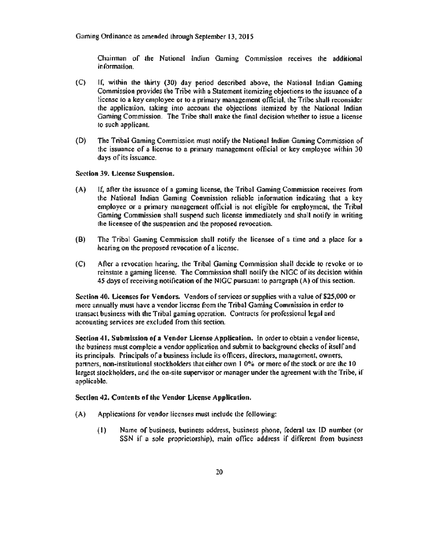Chairman of the National Indian Gaming Commission receives the additional information.

- (C) If. within the thirty (30) day period described above, the National Indian Gaming Commission provides the Tribe with a Statement itemizing objections to the issuance of a license to a key employee or to a primary management official, the Tribe shall reconsider the application, taking into account 1he objections itemized by the National Indian Gaming Commission. The Tribe shall make the final decision whether to issue a license to such applicant.
- (D) The Tribal Gamins Commission must notify the National Indian Gaming Commission of the issuance of a license to n primary management official or key employee within 30 days of its issuance.

#### Section 39. License Suspension.

- (A) If, after the issunnce of a gaming license, the Tribal Gaming Commission receives from the National Indian Gaming Commission reliable information indicating that a key employee or n primary management official is not eligible for employment, the Tribal Gaming Commission shall suspend such license immediately and shall notify in writing the licensee of the suspension and the proposed revocation.
- (B) The Tribal Gaming Commission shall notify the licensee of a time and a place for a hearing on the proposed revocation of a license.
- (C) Afier a revocation hearing, the Tribal Gaming Commission shalt decide to revoke or to reinstate a gaming license. The Commission shall notify the NJGC of its decision within *45* days of receiving notification of the NlGC pursuant to paragraph (A) of this section.

Section 40. Licenses for Vendors. Vendors of services or supplies with a value of \$25,000 or more annually must have a vendor license from the Tribal Gaming Commission in order to transact business with the Tribal gaming operation. Contracts for professional legal and accounting services are excluded from this section.

Section 41. Submission of a Vendor License Application. In order to obtain a vendor license, the business must complete a vendor application and submit to background checks of itself and its principals. Principals of o business include its officers, directors, management, owners, partners, non-institutional stockholders that either own 1 0% or more of the stock or are the 10 largest stockholders, and the on-site supervisor or manager under the agreement with the Tribe, if applicable.

#### Section 42. Contents of the Vendor License Application.

- (A) Applications for vendor licenses must include the following:
	- (I) Name of business, business address, business phone, federal tax lD number (or SSN if a sole proprietorship), main office address if different from business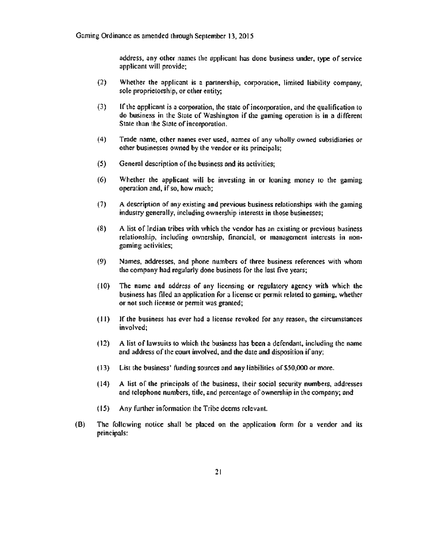address, any other names the applicant has done business under, type of service applicant will provide;

- (2) Whether the applicant is a partnership, corporation, limited liability company, sole proprietorship, or other entity;
- (3) lf the applicant is a corporation, the state of incorporation, and the qualification to do business in the State of Washington if che gaming operation is in a different State than the State of incorporation.
- (4) Trade name. other names ever used, names of any wholly owned subsidiaries or other businesses owned by the vendor or its principals;
- (5) General description of the business and its activities;
- (6) Whether the applicant will be investing in or loaning money to the gaming operation and, if so, how much;
- (7) A description of any existing and previous business relationships with the gaining industry generally, including ownership interests in those businesses;
- (8) A list of Jndinn tribes with which the vendor has an existing or previous business relationship, including ownership, financial, or management interests in non· gaming activities;
- (9) Names, addresses, and phone numbers of three business references with whom the company had regularly done business for the last five years;
- $(10)$  The name and address of any licensing or regulatory agency with which the business has filed an application for a license or pennit related to gaming, whether or not such license or pennit was granted;
- ( 11) Jf the business has ever had a license revoked for any reason, the circumstances involved;
- $(12)$  A list of lawsuits to which the business has been a defendant, including the name and address of the court involved, and the date and disposition if any;
- ( 13) List the business' funding sources and any liabilities of\$50,000 or more.
- (14) A list of the principals of the business, their social security numbers, addresses and telephone numbers, tide, and percentage of ownership in the company; and
- ( 15) Any funher infonnation the Tribe deems relevant.
- (B) The following notice shall be placed on the application form for a vendor and its principals: